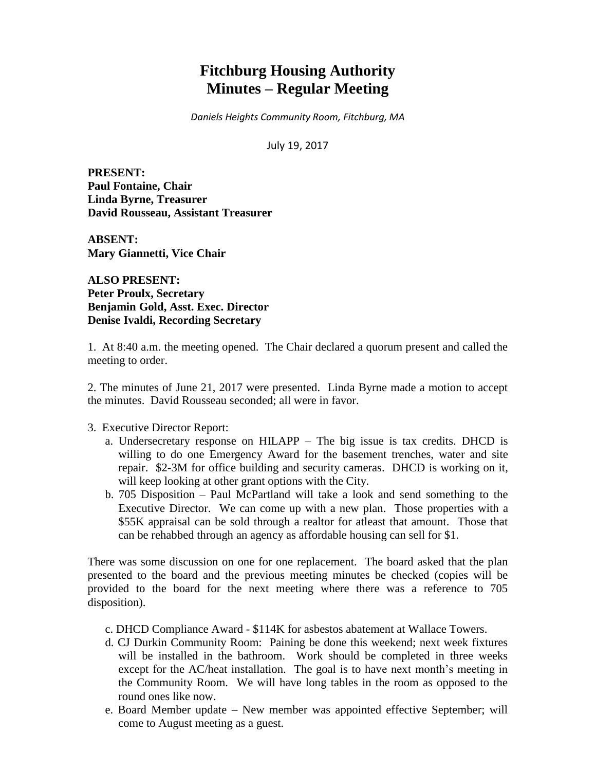# **Fitchburg Housing Authority Minutes – Regular Meeting**

*Daniels Heights Community Room, Fitchburg, MA*

July 19, 2017

**PRESENT: Paul Fontaine, Chair Linda Byrne, Treasurer David Rousseau, Assistant Treasurer**

**ABSENT: Mary Giannetti, Vice Chair** 

**ALSO PRESENT: Peter Proulx, Secretary Benjamin Gold, Asst. Exec. Director Denise Ivaldi, Recording Secretary**

1. At 8:40 a.m. the meeting opened. The Chair declared a quorum present and called the meeting to order.

2. The minutes of June 21, 2017 were presented. Linda Byrne made a motion to accept the minutes. David Rousseau seconded; all were in favor.

3. Executive Director Report:

- a. Undersecretary response on HILAPP The big issue is tax credits. DHCD is willing to do one Emergency Award for the basement trenches, water and site repair. \$2-3M for office building and security cameras. DHCD is working on it, will keep looking at other grant options with the City.
- b. 705 Disposition Paul McPartland will take a look and send something to the Executive Director. We can come up with a new plan. Those properties with a \$55K appraisal can be sold through a realtor for atleast that amount. Those that can be rehabbed through an agency as affordable housing can sell for \$1.

There was some discussion on one for one replacement. The board asked that the plan presented to the board and the previous meeting minutes be checked (copies will be provided to the board for the next meeting where there was a reference to 705 disposition).

- c. DHCD Compliance Award \$114K for asbestos abatement at Wallace Towers.
- d. CJ Durkin Community Room: Paining be done this weekend; next week fixtures will be installed in the bathroom. Work should be completed in three weeks except for the AC/heat installation. The goal is to have next month's meeting in the Community Room. We will have long tables in the room as opposed to the round ones like now.
- e. Board Member update New member was appointed effective September; will come to August meeting as a guest.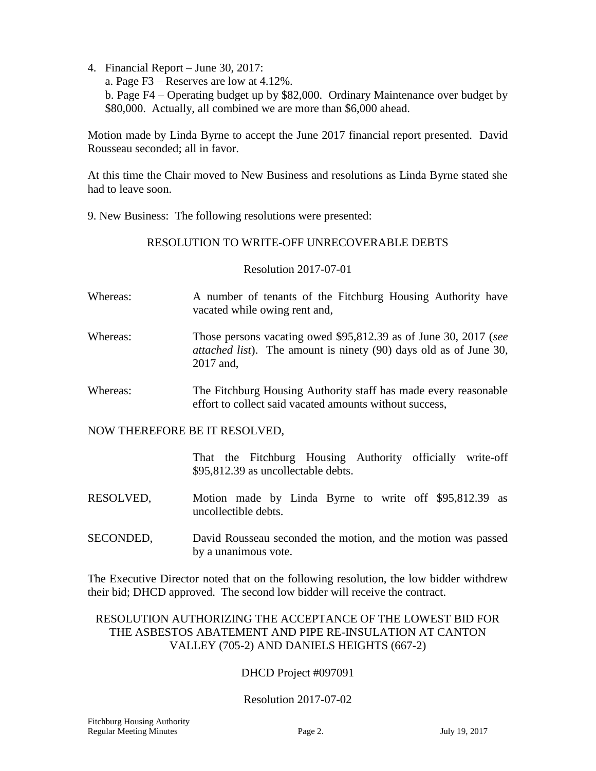- 4. Financial Report June 30, 2017:
	- a. Page F3 Reserves are low at 4.12%.

b. Page F4 – Operating budget up by \$82,000. Ordinary Maintenance over budget by \$80,000. Actually, all combined we are more than \$6,000 ahead.

Motion made by Linda Byrne to accept the June 2017 financial report presented. David Rousseau seconded; all in favor.

At this time the Chair moved to New Business and resolutions as Linda Byrne stated she had to leave soon.

9. New Business: The following resolutions were presented:

# RESOLUTION TO WRITE-OFF UNRECOVERABLE DEBTS

Resolution 2017-07-01

- Whereas: A number of tenants of the Fitchburg Housing Authority have vacated while owing rent and,
- Whereas: Those persons vacating owed \$95,812.39 as of June 30, 2017 (*see attached list*). The amount is ninety (90) days old as of June 30, 2017 and,
- Whereas: The Fitchburg Housing Authority staff has made every reasonable effort to collect said vacated amounts without success,

## NOW THEREFORE BE IT RESOLVED,

That the Fitchburg Housing Authority officially write-off \$95,812.39 as uncollectable debts.

- RESOLVED, Motion made by Linda Byrne to write off \$95,812.39 as uncollectible debts.
- SECONDED, David Rousseau seconded the motion, and the motion was passed by a unanimous vote.

The Executive Director noted that on the following resolution, the low bidder withdrew their bid; DHCD approved. The second low bidder will receive the contract.

# RESOLUTION AUTHORIZING THE ACCEPTANCE OF THE LOWEST BID FOR THE ASBESTOS ABATEMENT AND PIPE RE-INSULATION AT CANTON VALLEY (705-2) AND DANIELS HEIGHTS (667-2)

# DHCD Project #097091

# Resolution 2017-07-02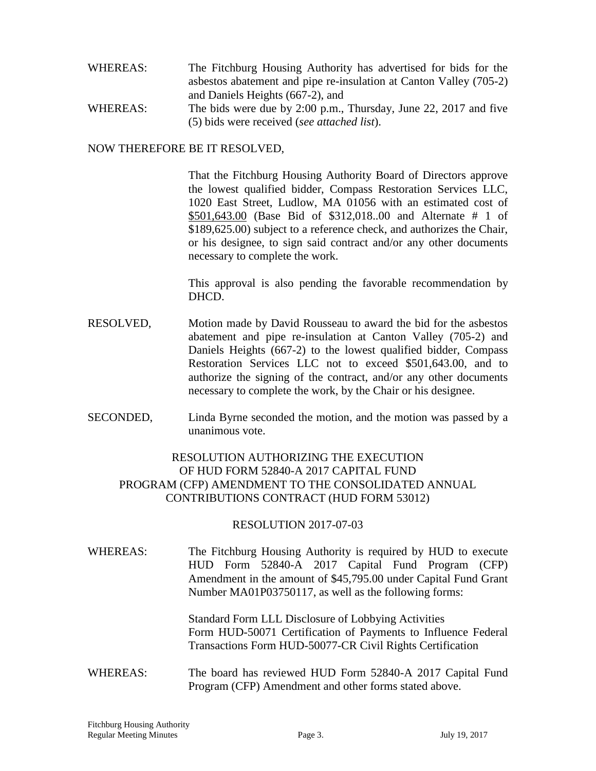- WHEREAS: The Fitchburg Housing Authority has advertised for bids for the asbestos abatement and pipe re-insulation at Canton Valley (705-2) and Daniels Heights (667-2), and WHEREAS: The bids were due by 2:00 p.m., Thursday, June 22, 2017 and five
- (5) bids were received (*see attached list*).

#### NOW THEREFORE BE IT RESOLVED,

That the Fitchburg Housing Authority Board of Directors approve the lowest qualified bidder, Compass Restoration Services LLC, 1020 East Street, Ludlow, MA 01056 with an estimated cost of \$501,643.00 (Base Bid of \$312,018..00 and Alternate # 1 of \$189,625.00) subject to a reference check, and authorizes the Chair, or his designee, to sign said contract and/or any other documents necessary to complete the work.

This approval is also pending the favorable recommendation by DHCD.

- RESOLVED, Motion made by David Rousseau to award the bid for the asbestos abatement and pipe re-insulation at Canton Valley (705-2) and Daniels Heights (667-2) to the lowest qualified bidder, Compass Restoration Services LLC not to exceed \$501,643.00, and to authorize the signing of the contract, and/or any other documents necessary to complete the work, by the Chair or his designee.
- SECONDED, Linda Byrne seconded the motion, and the motion was passed by a unanimous vote.

# RESOLUTION AUTHORIZING THE EXECUTION OF HUD FORM 52840-A 2017 CAPITAL FUND PROGRAM (CFP) AMENDMENT TO THE CONSOLIDATED ANNUAL CONTRIBUTIONS CONTRACT (HUD FORM 53012)

## RESOLUTION 2017-07-03

WHEREAS: The Fitchburg Housing Authority is required by HUD to execute HUD Form 52840-A 2017 Capital Fund Program (CFP) Amendment in the amount of \$45,795.00 under Capital Fund Grant Number MA01P03750117, as well as the following forms:

> Standard Form LLL Disclosure of Lobbying Activities Form HUD-50071 Certification of Payments to Influence Federal Transactions Form HUD-50077-CR Civil Rights Certification

## WHEREAS: The board has reviewed HUD Form 52840-A 2017 Capital Fund Program (CFP) Amendment and other forms stated above.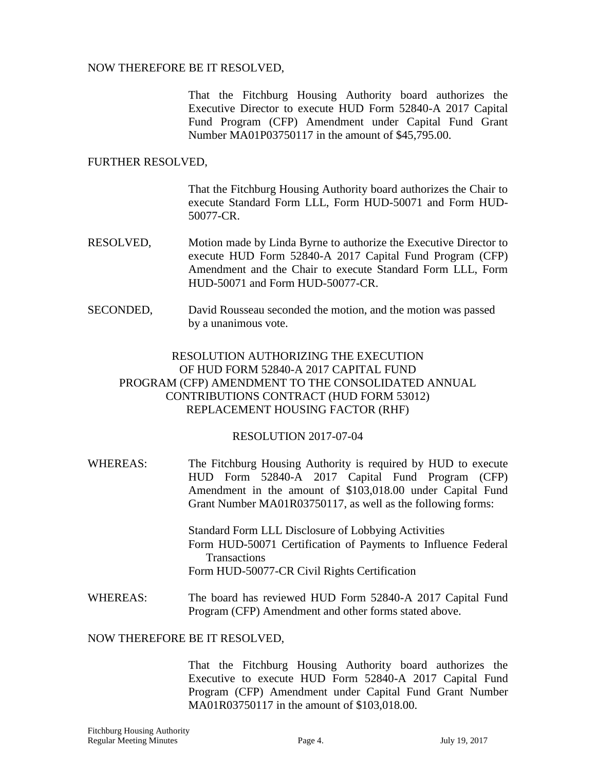#### NOW THEREFORE BE IT RESOLVED,

That the Fitchburg Housing Authority board authorizes the Executive Director to execute HUD Form 52840-A 2017 Capital Fund Program (CFP) Amendment under Capital Fund Grant Number MA01P03750117 in the amount of \$45,795.00.

#### FURTHER RESOLVED,

That the Fitchburg Housing Authority board authorizes the Chair to execute Standard Form LLL, Form HUD-50071 and Form HUD-50077-CR.

- RESOLVED, Motion made by Linda Byrne to authorize the Executive Director to execute HUD Form 52840-A 2017 Capital Fund Program (CFP) Amendment and the Chair to execute Standard Form LLL, Form HUD-50071 and Form HUD-50077-CR.
- SECONDED, David Rousseau seconded the motion, and the motion was passed by a unanimous vote.

# RESOLUTION AUTHORIZING THE EXECUTION OF HUD FORM 52840-A 2017 CAPITAL FUND PROGRAM (CFP) AMENDMENT TO THE CONSOLIDATED ANNUAL CONTRIBUTIONS CONTRACT (HUD FORM 53012) REPLACEMENT HOUSING FACTOR (RHF)

## RESOLUTION 2017-07-04

WHEREAS: The Fitchburg Housing Authority is required by HUD to execute HUD Form 52840-A 2017 Capital Fund Program (CFP) Amendment in the amount of \$103,018.00 under Capital Fund Grant Number MA01R03750117, as well as the following forms:

> Standard Form LLL Disclosure of Lobbying Activities Form HUD-50071 Certification of Payments to Influence Federal Transactions Form HUD-50077-CR Civil Rights Certification

WHEREAS: The board has reviewed HUD Form 52840-A 2017 Capital Fund Program (CFP) Amendment and other forms stated above.

#### NOW THEREFORE BE IT RESOLVED,

That the Fitchburg Housing Authority board authorizes the Executive to execute HUD Form 52840-A 2017 Capital Fund Program (CFP) Amendment under Capital Fund Grant Number MA01R03750117 in the amount of \$103,018.00.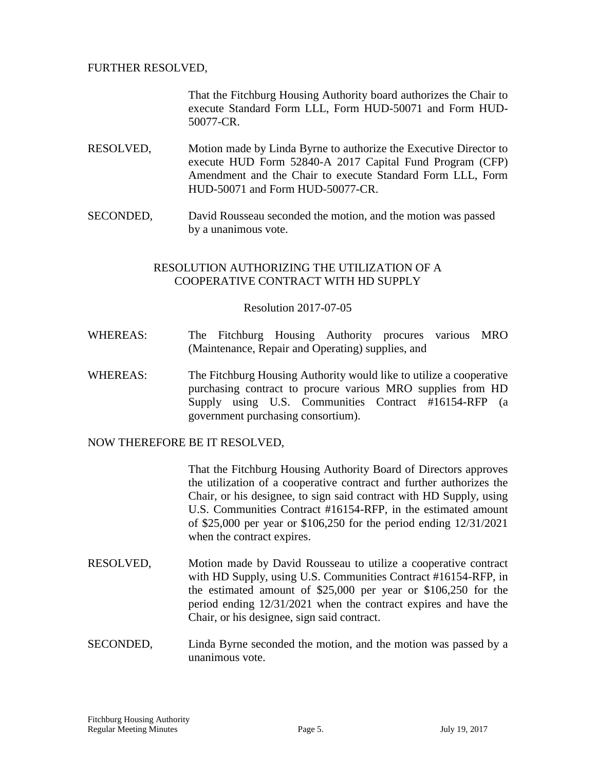## FURTHER RESOLVED,

That the Fitchburg Housing Authority board authorizes the Chair to execute Standard Form LLL, Form HUD-50071 and Form HUD-50077-CR.

- RESOLVED, Motion made by Linda Byrne to authorize the Executive Director to execute HUD Form 52840-A 2017 Capital Fund Program (CFP) Amendment and the Chair to execute Standard Form LLL, Form HUD-50071 and Form HUD-50077-CR.
- SECONDED, David Rousseau seconded the motion, and the motion was passed by a unanimous vote.

## RESOLUTION AUTHORIZING THE UTILIZATION OF A COOPERATIVE CONTRACT WITH HD SUPPLY

## Resolution 2017-07-05

- WHEREAS: The Fitchburg Housing Authority procures various MRO (Maintenance, Repair and Operating) supplies, and
- WHEREAS: The Fitchburg Housing Authority would like to utilize a cooperative purchasing contract to procure various MRO supplies from HD Supply using U.S. Communities Contract #16154-RFP (a government purchasing consortium).

NOW THEREFORE BE IT RESOLVED,

That the Fitchburg Housing Authority Board of Directors approves the utilization of a cooperative contract and further authorizes the Chair, or his designee, to sign said contract with HD Supply, using U.S. Communities Contract #16154-RFP, in the estimated amount of \$25,000 per year or \$106,250 for the period ending 12/31/2021 when the contract expires.

- RESOLVED, Motion made by David Rousseau to utilize a cooperative contract with HD Supply, using U.S. Communities Contract #16154-RFP, in the estimated amount of \$25,000 per year or \$106,250 for the period ending 12/31/2021 when the contract expires and have the Chair, or his designee, sign said contract.
- SECONDED, Linda Byrne seconded the motion, and the motion was passed by a unanimous vote.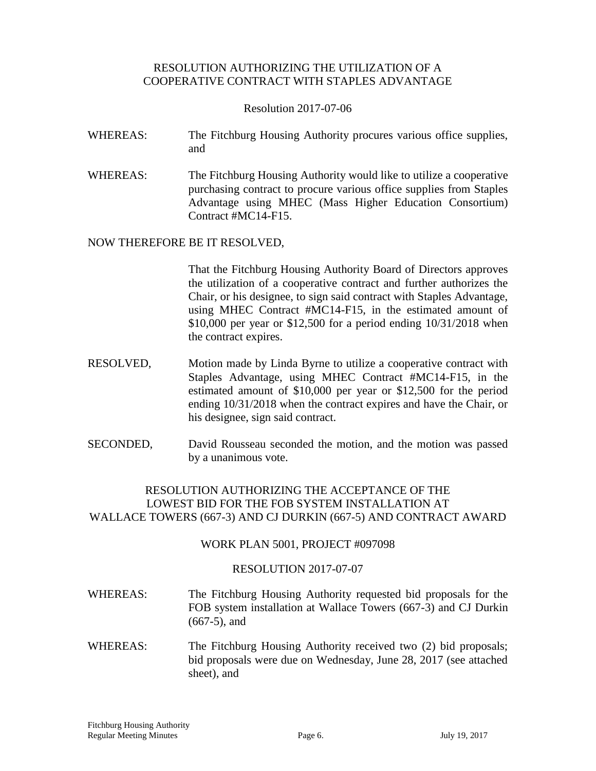## RESOLUTION AUTHORIZING THE UTILIZATION OF A COOPERATIVE CONTRACT WITH STAPLES ADVANTAGE

Resolution 2017-07-06

- WHEREAS: The Fitchburg Housing Authority procures various office supplies, and
- WHEREAS: The Fitchburg Housing Authority would like to utilize a cooperative purchasing contract to procure various office supplies from Staples Advantage using MHEC (Mass Higher Education Consortium) Contract #MC14-F15.

## NOW THEREFORE BE IT RESOLVED,

That the Fitchburg Housing Authority Board of Directors approves the utilization of a cooperative contract and further authorizes the Chair, or his designee, to sign said contract with Staples Advantage, using MHEC Contract #MC14-F15, in the estimated amount of \$10,000 per year or \$12,500 for a period ending 10/31/2018 when the contract expires.

- RESOLVED, Motion made by Linda Byrne to utilize a cooperative contract with Staples Advantage, using MHEC Contract #MC14-F15, in the estimated amount of \$10,000 per year or \$12,500 for the period ending 10/31/2018 when the contract expires and have the Chair, or his designee, sign said contract.
- SECONDED, David Rousseau seconded the motion, and the motion was passed by a unanimous vote.

# RESOLUTION AUTHORIZING THE ACCEPTANCE OF THE LOWEST BID FOR THE FOB SYSTEM INSTALLATION AT WALLACE TOWERS (667-3) AND CJ DURKIN (667-5) AND CONTRACT AWARD

## WORK PLAN 5001, PROJECT #097098

## RESOLUTION 2017-07-07

- WHEREAS: The Fitchburg Housing Authority requested bid proposals for the FOB system installation at Wallace Towers (667-3) and CJ Durkin (667-5), and
- WHEREAS: The Fitchburg Housing Authority received two (2) bid proposals; bid proposals were due on Wednesday, June 28, 2017 (see attached sheet), and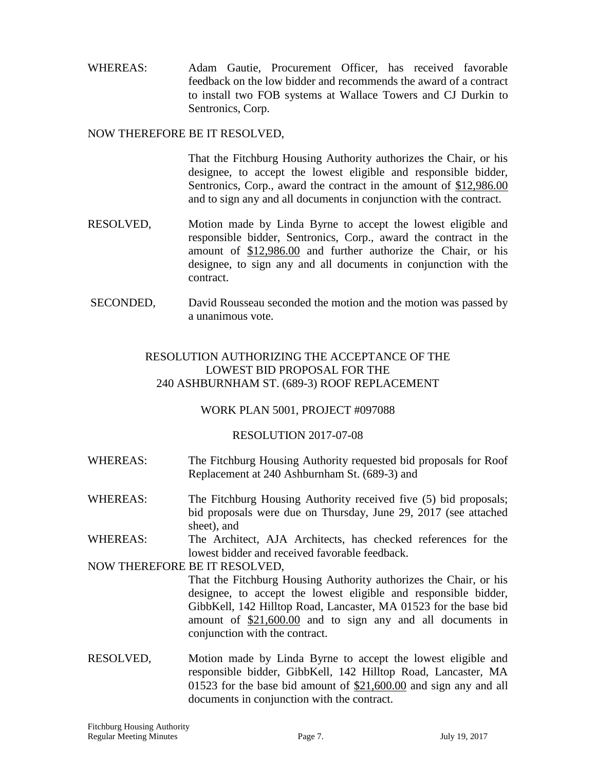WHEREAS: Adam Gautie, Procurement Officer, has received favorable feedback on the low bidder and recommends the award of a contract to install two FOB systems at Wallace Towers and CJ Durkin to Sentronics, Corp.

## NOW THEREFORE BE IT RESOLVED,

That the Fitchburg Housing Authority authorizes the Chair, or his designee, to accept the lowest eligible and responsible bidder, Sentronics, Corp., award the contract in the amount of \$12,986.00 and to sign any and all documents in conjunction with the contract.

- RESOLVED, Motion made by Linda Byrne to accept the lowest eligible and responsible bidder, Sentronics, Corp., award the contract in the amount of \$12,986.00 and further authorize the Chair, or his designee, to sign any and all documents in conjunction with the contract.
- SECONDED, David Rousseau seconded the motion and the motion was passed by a unanimous vote.

## RESOLUTION AUTHORIZING THE ACCEPTANCE OF THE LOWEST BID PROPOSAL FOR THE 240 ASHBURNHAM ST. (689-3) ROOF REPLACEMENT

## WORK PLAN 5001, PROJECT #097088

## RESOLUTION 2017-07-08

- WHEREAS: The Fitchburg Housing Authority requested bid proposals for Roof Replacement at 240 Ashburnham St. (689-3) and
- WHEREAS: The Fitchburg Housing Authority received five (5) bid proposals; bid proposals were due on Thursday, June 29, 2017 (see attached sheet), and
- WHEREAS: The Architect, AJA Architects, has checked references for the lowest bidder and received favorable feedback.

NOW THEREFORE BE IT RESOLVED,

That the Fitchburg Housing Authority authorizes the Chair, or his designee, to accept the lowest eligible and responsible bidder, GibbKell, 142 Hilltop Road, Lancaster, MA 01523 for the base bid amount of \$21,600.00 and to sign any and all documents in conjunction with the contract.

RESOLVED, Motion made by Linda Byrne to accept the lowest eligible and responsible bidder, GibbKell, 142 Hilltop Road, Lancaster, MA 01523 for the base bid amount of \$21,600.00 and sign any and all documents in conjunction with the contract.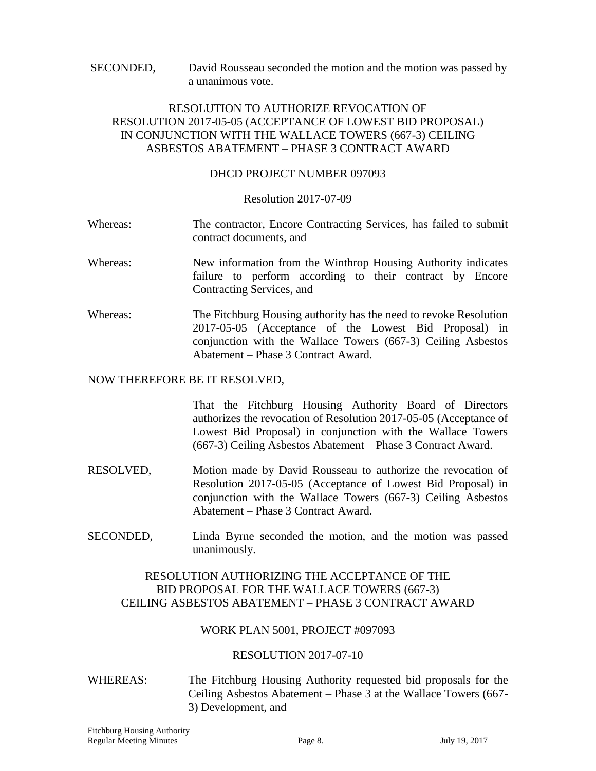SECONDED, David Rousseau seconded the motion and the motion was passed by a unanimous vote.

## RESOLUTION TO AUTHORIZE REVOCATION OF RESOLUTION 2017-05-05 (ACCEPTANCE OF LOWEST BID PROPOSAL) IN CONJUNCTION WITH THE WALLACE TOWERS (667-3) CEILING ASBESTOS ABATEMENT – PHASE 3 CONTRACT AWARD

#### DHCD PROJECT NUMBER 097093

#### Resolution 2017-07-09

- Whereas: The contractor, Encore Contracting Services, has failed to submit contract documents, and
- Whereas: New information from the Winthrop Housing Authority indicates failure to perform according to their contract by Encore Contracting Services, and
- Whereas: The Fitchburg Housing authority has the need to revoke Resolution 2017-05-05 (Acceptance of the Lowest Bid Proposal) in conjunction with the Wallace Towers (667-3) Ceiling Asbestos Abatement – Phase 3 Contract Award.

#### NOW THEREFORE BE IT RESOLVED,

That the Fitchburg Housing Authority Board of Directors authorizes the revocation of Resolution 2017-05-05 (Acceptance of Lowest Bid Proposal) in conjunction with the Wallace Towers (667-3) Ceiling Asbestos Abatement – Phase 3 Contract Award.

- RESOLVED, Motion made by David Rousseau to authorize the revocation of Resolution 2017-05-05 (Acceptance of Lowest Bid Proposal) in conjunction with the Wallace Towers (667-3) Ceiling Asbestos Abatement – Phase 3 Contract Award.
- SECONDED, Linda Byrne seconded the motion, and the motion was passed unanimously.

## RESOLUTION AUTHORIZING THE ACCEPTANCE OF THE BID PROPOSAL FOR THE WALLACE TOWERS (667-3) CEILING ASBESTOS ABATEMENT – PHASE 3 CONTRACT AWARD

## WORK PLAN 5001, PROJECT #097093

## RESOLUTION 2017-07-10

WHEREAS: The Fitchburg Housing Authority requested bid proposals for the Ceiling Asbestos Abatement – Phase 3 at the Wallace Towers (667- 3) Development, and